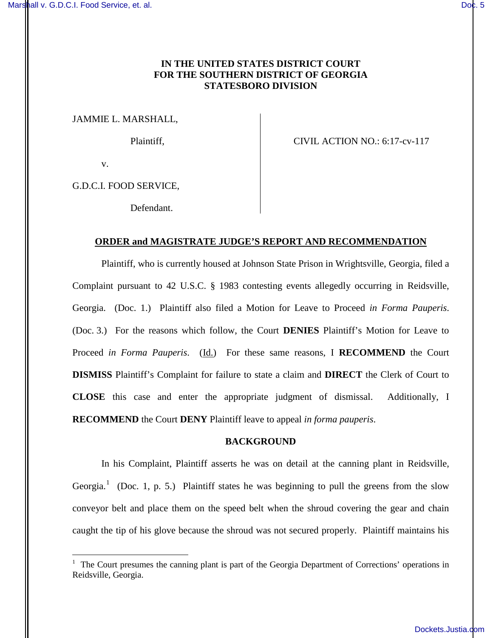# **IN THE UNITED STATES DISTRICT COURT FOR THE SOUTHERN DISTRICT OF GEORGIA STATESBORO DIVISION**

JAMMIE L. MARSHALL,

Plaintiff, CIVIL ACTION NO.: 6:17-cv-117

v.

 $\overline{a}$ 

G.D.C.I. FOOD SERVICE,

Defendant.

## **ORDER and MAGISTRATE JUDGE'S REPORT AND RECOMMENDATION**

Plaintiff, who is currently housed at Johnson State Prison in Wrightsville, Georgia, filed a Complaint pursuant to 42 U.S.C. § 1983 contesting events allegedly occurring in Reidsville, Georgia. (Doc. 1.) Plaintiff also filed a Motion for Leave to Proceed *in Forma Pauperis*. (Doc. 3.) For the reasons which follow, the Court **DENIES** Plaintiff's Motion for Leave to Proceed *in Forma Pauperis*. (Id.) For these same reasons, I **RECOMMEND** the Court **DISMISS** Plaintiff's Complaint for failure to state a claim and **DIRECT** the Clerk of Court to **CLOSE** this case and enter the appropriate judgment of dismissal. Additionally, I **RECOMMEND** the Court **DENY** Plaintiff leave to appeal *in forma pauperis*.

## **BACKGROUND**

In his Complaint, Plaintiff asserts he was on detail at the canning plant in Reidsville, Georgia.<sup>1</sup> (Doc. 1, p. 5.) Plaintiff states he was beginning to pull the greens from the slow conveyor belt and place them on the speed belt when the shroud covering the gear and chain caught the tip of his glove because the shroud was not secured properly. Plaintiff maintains his

<sup>&</sup>lt;sup>1</sup> The Court presumes the canning plant is part of the Georgia Department of Corrections' operations in Reidsville, Georgia.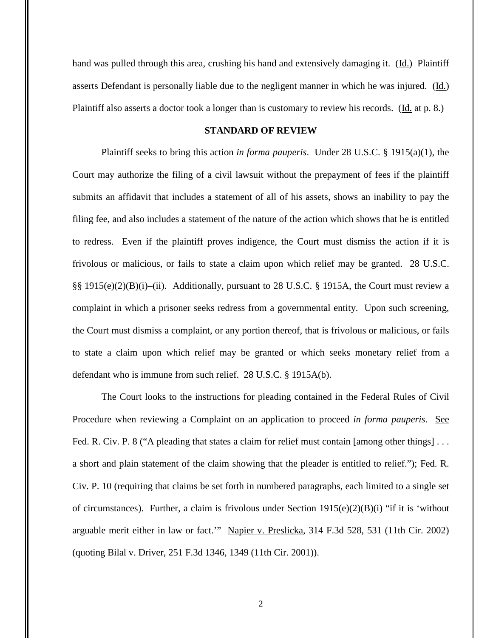hand was pulled through this area, crushing his hand and extensively damaging it. (Id.) Plaintiff asserts Defendant is personally liable due to the negligent manner in which he was injured. (Id.) Plaintiff also asserts a doctor took a longer than is customary to review his records. (Id. at p. 8.)

## **STANDARD OF REVIEW**

Plaintiff seeks to bring this action *in forma pauperis*. Under 28 U.S.C. § 1915(a)(1), the Court may authorize the filing of a civil lawsuit without the prepayment of fees if the plaintiff submits an affidavit that includes a statement of all of his assets, shows an inability to pay the filing fee, and also includes a statement of the nature of the action which shows that he is entitled to redress. Even if the plaintiff proves indigence, the Court must dismiss the action if it is frivolous or malicious, or fails to state a claim upon which relief may be granted. 28 U.S.C. §§ 1915(e)(2)(B)(i)–(ii). Additionally, pursuant to 28 U.S.C. § 1915A, the Court must review a complaint in which a prisoner seeks redress from a governmental entity. Upon such screening, the Court must dismiss a complaint, or any portion thereof, that is frivolous or malicious, or fails to state a claim upon which relief may be granted or which seeks monetary relief from a defendant who is immune from such relief. 28 U.S.C. § 1915A(b).

The Court looks to the instructions for pleading contained in the Federal Rules of Civil Procedure when reviewing a Complaint on an application to proceed *in forma pauperis*. See Fed. R. Civ. P. 8 ("A pleading that states a claim for relief must contain [among other things]... a short and plain statement of the claim showing that the pleader is entitled to relief."); Fed. R. Civ. P. 10 (requiring that claims be set forth in numbered paragraphs, each limited to a single set of circumstances). Further, a claim is frivolous under Section  $1915(e)(2)(B)(i)$  "if it is 'without arguable merit either in law or fact.'" Napier v. Preslicka, 314 F.3d 528, 531 (11th Cir. 2002) (quoting Bilal v. Driver, 251 F.3d 1346, 1349 (11th Cir. 2001)).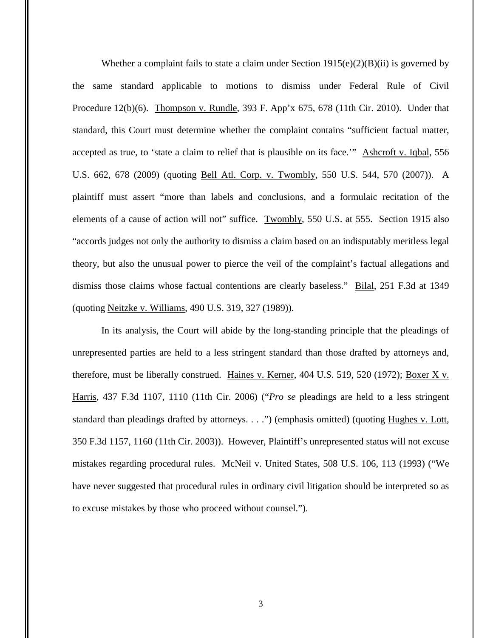Whether a complaint fails to state a claim under Section  $1915(e)(2)(B)(ii)$  is governed by the same standard applicable to motions to dismiss under Federal Rule of Civil Procedure 12(b)(6). Thompson v. Rundle, 393 F. App'x 675, 678 (11th Cir. 2010). Under that standard, this Court must determine whether the complaint contains "sufficient factual matter, accepted as true, to 'state a claim to relief that is plausible on its face.'" Ashcroft v. Iqbal, 556 U.S. 662, 678 (2009) (quoting Bell Atl. Corp. v. Twombly, 550 U.S. 544, 570 (2007)). A plaintiff must assert "more than labels and conclusions, and a formulaic recitation of the elements of a cause of action will not" suffice. Twombly, 550 U.S. at 555. Section 1915 also "accords judges not only the authority to dismiss a claim based on an indisputably meritless legal theory, but also the unusual power to pierce the veil of the complaint's factual allegations and dismiss those claims whose factual contentions are clearly baseless." Bilal, 251 F.3d at 1349 (quoting Neitzke v. Williams, 490 U.S. 319, 327 (1989)).

In its analysis, the Court will abide by the long-standing principle that the pleadings of unrepresented parties are held to a less stringent standard than those drafted by attorneys and, therefore, must be liberally construed. Haines v. Kerner, 404 U.S. 519, 520 (1972); Boxer X v. Harris, 437 F.3d 1107, 1110 (11th Cir. 2006) ("*Pro se* pleadings are held to a less stringent standard than pleadings drafted by attorneys. . . .") (emphasis omitted) (quoting Hughes v. Lott, 350 F.3d 1157, 1160 (11th Cir. 2003)). However, Plaintiff's unrepresented status will not excuse mistakes regarding procedural rules. McNeil v. United States, 508 U.S. 106, 113 (1993) ("We have never suggested that procedural rules in ordinary civil litigation should be interpreted so as to excuse mistakes by those who proceed without counsel.").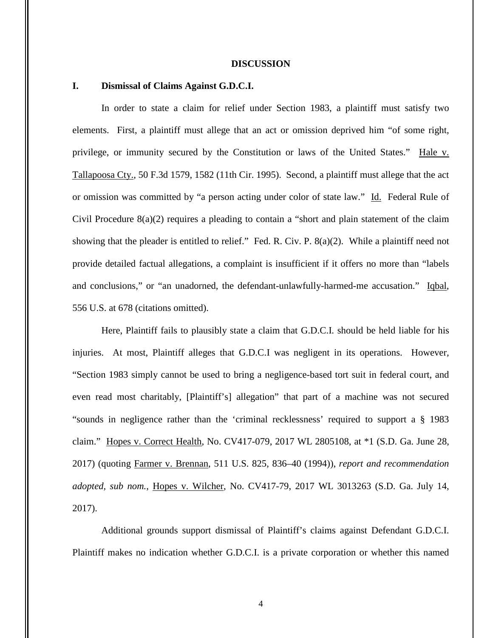#### **DISCUSSION**

## **I. Dismissal of Claims Against G.D.C.I.**

In order to state a claim for relief under Section 1983, a plaintiff must satisfy two elements. First, a plaintiff must allege that an act or omission deprived him "of some right, privilege, or immunity secured by the Constitution or laws of the United States." Hale v. Tallapoosa Cty., 50 F.3d 1579, 1582 (11th Cir. 1995). Second, a plaintiff must allege that the act or omission was committed by "a person acting under color of state law." Id. Federal Rule of Civil Procedure 8(a)(2) requires a pleading to contain a "short and plain statement of the claim showing that the pleader is entitled to relief." Fed. R. Civ. P. 8(a)(2). While a plaintiff need not provide detailed factual allegations, a complaint is insufficient if it offers no more than "labels and conclusions," or "an unadorned, the defendant-unlawfully-harmed-me accusation." Iqbal, 556 U.S. at 678 (citations omitted).

Here, Plaintiff fails to plausibly state a claim that G.D.C.I. should be held liable for his injuries. At most, Plaintiff alleges that G.D.C.I was negligent in its operations. However, "Section 1983 simply cannot be used to bring a negligence-based tort suit in federal court, and even read most charitably, [Plaintiff's] allegation" that part of a machine was not secured "sounds in negligence rather than the 'criminal recklessness' required to support a § 1983 claim." Hopes v. Correct Health, No. CV417-079, 2017 WL 2805108, at \*1 (S.D. Ga. June 28, 2017) (quoting Farmer v. Brennan, 511 U.S. 825, 836–40 (1994)), *report and recommendation adopted, sub nom.*, Hopes v. Wilcher, No. CV417-79, 2017 WL 3013263 (S.D. Ga. July 14, 2017).

Additional grounds support dismissal of Plaintiff's claims against Defendant G.D.C.I. Plaintiff makes no indication whether G.D.C.I. is a private corporation or whether this named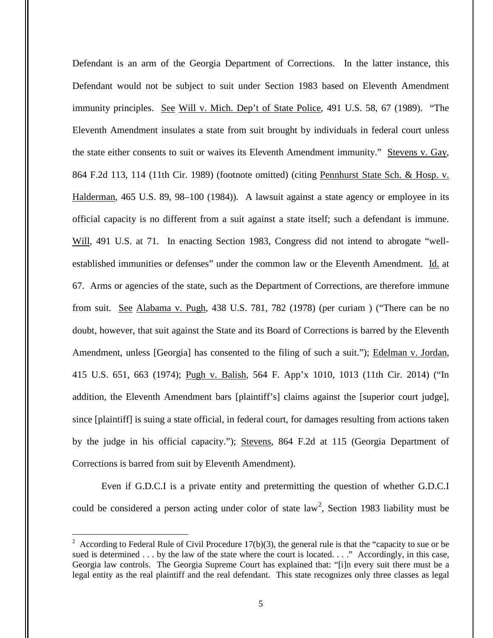Defendant is an arm of the Georgia Department of Corrections. In the latter instance, this Defendant would not be subject to suit under Section 1983 based on Eleventh Amendment immunity principles. See Will v. Mich. Dep't of State Police, 491 U.S. 58, 67 (1989). "The Eleventh Amendment insulates a state from suit brought by individuals in federal court unless the state either consents to suit or waives its Eleventh Amendment immunity." Stevens v. Gay, 864 F.2d 113, 114 (11th Cir. 1989) (footnote omitted) (citing Pennhurst State Sch. & Hosp. v. Halderman, 465 U.S. 89, 98–100 (1984)). A lawsuit against a state agency or employee in its official capacity is no different from a suit against a state itself; such a defendant is immune. Will, 491 U.S. at 71. In enacting Section 1983, Congress did not intend to abrogate "wellestablished immunities or defenses" under the common law or the Eleventh Amendment. Id. at 67. Arms or agencies of the state, such as the Department of Corrections, are therefore immune from suit. See Alabama v. Pugh, 438 U.S. 781, 782 (1978) (per curiam ) ("There can be no doubt, however, that suit against the State and its Board of Corrections is barred by the Eleventh Amendment, unless [Georgia] has consented to the filing of such a suit."); Edelman v. Jordan, 415 U.S. 651, 663 (1974); Pugh v. Balish, 564 F. App'x 1010, 1013 (11th Cir. 2014) ("In addition, the Eleventh Amendment bars [plaintiff's] claims against the [superior court judge], since [plaintiff] is suing a state official, in federal court, for damages resulting from actions taken by the judge in his official capacity."); Stevens, 864 F.2d at 115 (Georgia Department of Corrections is barred from suit by Eleventh Amendment).

Even if G.D.C.I is a private entity and pretermitting the question of whether G.D.C.I could be considered a person acting under color of state  $law<sup>2</sup>$ , Section 1983 liability must be

 $\overline{a}$ 

<sup>&</sup>lt;sup>2</sup> According to Federal Rule of Civil Procedure 17(b)(3), the general rule is that the "capacity to sue or be sued is determined . . . by the law of the state where the court is located. . . ." Accordingly, in this case, Georgia law controls. The Georgia Supreme Court has explained that: "[i]n every suit there must be a legal entity as the real plaintiff and the real defendant. This state recognizes only three classes as legal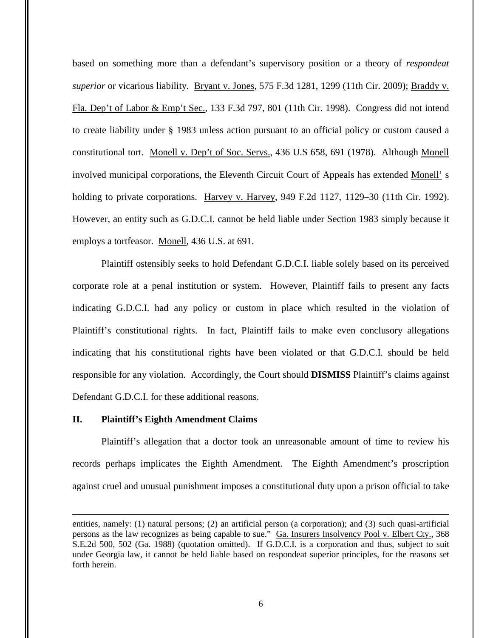based on something more than a defendant's supervisory position or a theory of *respondeat superior* or vicarious liability. Bryant v. Jones, 575 F.3d 1281, 1299 (11th Cir. 2009); Braddy v. Fla. Dep't of Labor & Emp't Sec., 133 F.3d 797, 801 (11th Cir. 1998). Congress did not intend to create liability under § 1983 unless action pursuant to an official policy or custom caused a constitutional tort. Monell v. Dep't of Soc. Servs., 436 U.S 658, 691 (1978). Although Monell involved municipal corporations, the Eleventh Circuit Court of Appeals has extended Monell' s holding to private corporations. Harvey v. Harvey, 949 F.2d 1127, 1129–30 (11th Cir. 1992). However, an entity such as G.D.C.I. cannot be held liable under Section 1983 simply because it employs a tortfeasor. Monell, 436 U.S. at 691.

Plaintiff ostensibly seeks to hold Defendant G.D.C.I. liable solely based on its perceived corporate role at a penal institution or system. However, Plaintiff fails to present any facts indicating G.D.C.I. had any policy or custom in place which resulted in the violation of Plaintiff's constitutional rights. In fact, Plaintiff fails to make even conclusory allegations indicating that his constitutional rights have been violated or that G.D.C.I. should be held responsible for any violation. Accordingly, the Court should **DISMISS** Plaintiff's claims against Defendant G.D.C.I. for these additional reasons.

## **II. Plaintiff's Eighth Amendment Claims**

 $\overline{a}$ 

Plaintiff's allegation that a doctor took an unreasonable amount of time to review his records perhaps implicates the Eighth Amendment. The Eighth Amendment's proscription against cruel and unusual punishment imposes a constitutional duty upon a prison official to take

entities, namely: (1) natural persons; (2) an artificial person (a corporation); and (3) such quasi-artificial persons as the law recognizes as being capable to sue." Ga. Insurers Insolvency Pool v. Elbert Cty., 368 S.E.2d 500, 502 (Ga. 1988) (quotation omitted). If G.D.C.I. is a corporation and thus, subject to suit under Georgia law, it cannot be held liable based on respondeat superior principles, for the reasons set forth herein.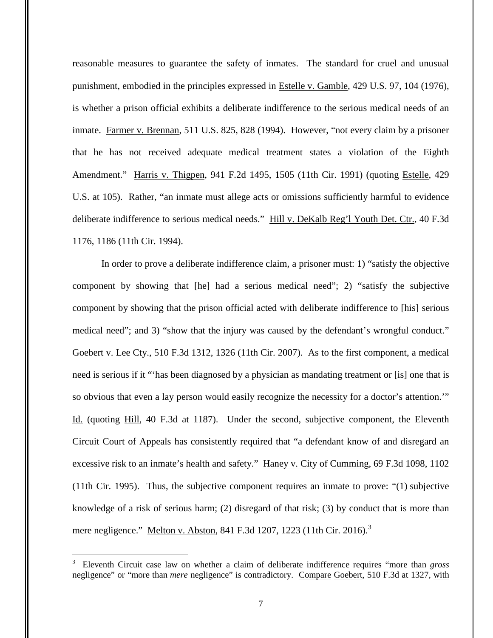reasonable measures to guarantee the safety of inmates. The standard for cruel and unusual punishment, embodied in the principles expressed in Estelle v. Gamble, 429 U.S. 97, 104 (1976), is whether a prison official exhibits a deliberate indifference to the serious medical needs of an inmate. Farmer v. Brennan, 511 U.S. 825, 828 (1994).However, "not every claim by a prisoner that he has not received adequate medical treatment states a violation of the Eighth Amendment." Harris v. Thigpen, 941 F.2d 1495, 1505 (11th Cir. 1991) (quoting Estelle, 429 U.S. at 105). Rather, "an inmate must allege acts or omissions sufficiently harmful to evidence deliberate indifference to serious medical needs." Hill v. DeKalb Reg'l Youth Det. Ctr., 40 F.3d 1176, 1186 (11th Cir. 1994).

In order to prove a deliberate indifference claim, a prisoner must: 1) "satisfy the objective component by showing that [he] had a serious medical need"; 2) "satisfy the subjective component by showing that the prison official acted with deliberate indifference to [his] serious medical need"; and 3) "show that the injury was caused by the defendant's wrongful conduct." Goebert v. Lee Cty., 510 F.3d 1312, 1326 (11th Cir. 2007). As to the first component, a medical need is serious if it "'has been diagnosed by a physician as mandating treatment or [is] one that is so obvious that even a lay person would easily recognize the necessity for a doctor's attention.'" Id. (quoting Hill, 40 F.3d at 1187). Under the second, subjective component, the Eleventh Circuit Court of Appeals has consistently required that "a defendant know of and disregard an excessive risk to an inmate's health and safety." Haney v. City of Cumming, 69 F.3d 1098, 1102 (11th Cir. 1995). Thus, the subjective component requires an inmate to prove: "(1) subjective knowledge of a risk of serious harm; (2) disregard of that risk; (3) by conduct that is more than mere negligence." Melton v. Abston, 841 F.3d 1207, 1223 (11th Cir. 2016).<sup>3</sup>

 $\overline{a}$ 

<sup>3</sup> Eleventh Circuit case law on whether a claim of deliberate indifference requires "more than *gross*  negligence" or "more than *mere* negligence" is contradictory. Compare Goebert, 510 F.3d at 1327, with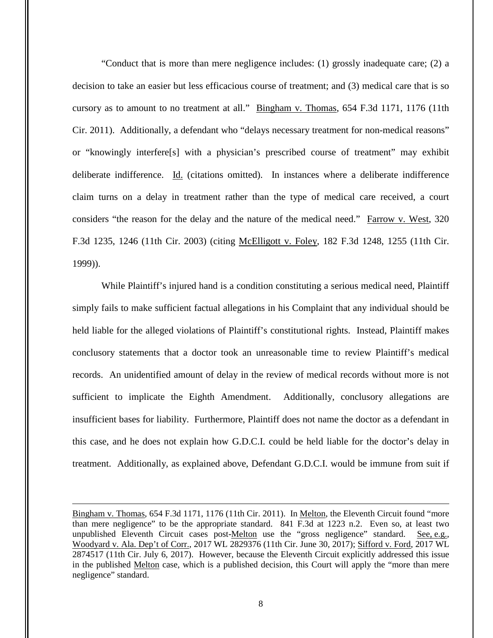"Conduct that is more than mere negligence includes: (1) grossly inadequate care; (2) a decision to take an easier but less efficacious course of treatment; and (3) medical care that is so cursory as to amount to no treatment at all." Bingham v. Thomas, 654 F.3d 1171, 1176 (11th Cir. 2011). Additionally, a defendant who "delays necessary treatment for non-medical reasons" or "knowingly interfere[s] with a physician's prescribed course of treatment" may exhibit deliberate indifference. Id. (citations omitted). In instances where a deliberate indifference claim turns on a delay in treatment rather than the type of medical care received, a court considers "the reason for the delay and the nature of the medical need." Farrow v. West, 320 F.3d 1235, 1246 (11th Cir. 2003) (citing McElligott v. Foley, 182 F.3d 1248, 1255 (11th Cir. 1999)).

While Plaintiff's injured hand is a condition constituting a serious medical need, Plaintiff simply fails to make sufficient factual allegations in his Complaint that any individual should be held liable for the alleged violations of Plaintiff's constitutional rights. Instead, Plaintiff makes conclusory statements that a doctor took an unreasonable time to review Plaintiff's medical records. An unidentified amount of delay in the review of medical records without more is not sufficient to implicate the Eighth Amendment. Additionally, conclusory allegations are insufficient bases for liability. Furthermore, Plaintiff does not name the doctor as a defendant in this case, and he does not explain how G.D.C.I. could be held liable for the doctor's delay in treatment. Additionally, as explained above, Defendant G.D.C.I. would be immune from suit if

 $\overline{a}$ 

Bingham v. Thomas, 654 F.3d 1171, 1176 (11th Cir. 2011). In Melton, the Eleventh Circuit found "more than mere negligence" to be the appropriate standard. 841 F.3d at 1223 n.2. Even so, at least two unpublished Eleventh Circuit cases post-Melton use the "gross negligence" standard. See, e.g., Woodyard v. Ala. Dep't of Corr., 2017 WL 2829376 (11th Cir. June 30, 2017); Sifford v. Ford, 2017 WL 2874517 (11th Cir. July 6, 2017). However, because the Eleventh Circuit explicitly addressed this issue in the published Melton case, which is a published decision, this Court will apply the "more than mere negligence" standard.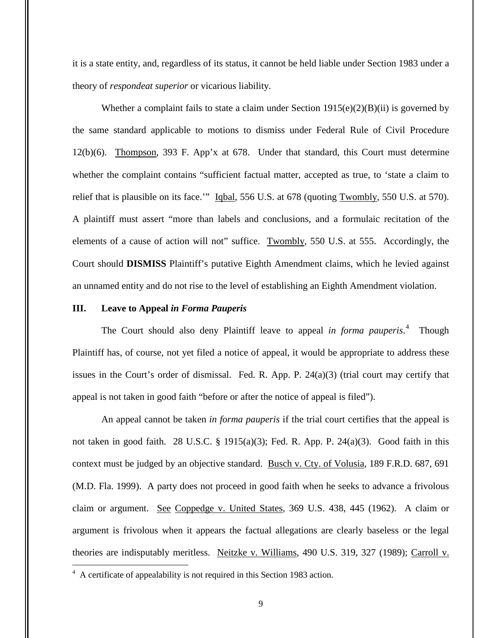it is a state entity, and, regardless of its status, it cannot be held liable under Section 1983 under a theory of *respondeat superior* or vicarious liability.

Whether a complaint fails to state a claim under Section  $1915(e)(2)(B)(ii)$  is governed by the same standard applicable to motions to dismiss under Federal Rule of Civil Procedure 12(b)(6). Thompson, 393 F. App'x at 678. Under that standard, this Court must determine whether the complaint contains "sufficient factual matter, accepted as true, to 'state a claim to relief that is plausible on its face." Iqbal, 556 U.S. at 678 (quoting Twombly, 550 U.S. at 570). A plaintiff must assert "more than labels and conclusions, and a formulaic recitation of the elements of a cause of action will not" suffice. Twombly, 550 U.S. at 555. Accordingly, the Court should **DISMISS** Plaintiff's putative Eighth Amendment claims, which he levied against an unnamed entity and do not rise to the level of establishing an Eighth Amendment violation.

## **III. Leave to Appeal** *in Forma Pauperis*

The Court should also deny Plaintiff leave to appeal *in forma pauperis*. 4 Though Plaintiff has, of course, not yet filed a notice of appeal, it would be appropriate to address these issues in the Court's order of dismissal. Fed. R. App. P. 24(a)(3) (trial court may certify that appeal is not taken in good faith "before or after the notice of appeal is filed").

An appeal cannot be taken *in forma pauperis* if the trial court certifies that the appeal is not taken in good faith. 28 U.S.C. § 1915(a)(3); Fed. R. App. P. 24(a)(3). Good faith in this context must be judged by an objective standard. Busch v. Cty. of Volusia, 189 F.R.D. 687, 691 (M.D. Fla. 1999). A party does not proceed in good faith when he seeks to advance a frivolous claim or argument. See Coppedge v. United States, 369 U.S. 438, 445 (1962). A claim or argument is frivolous when it appears the factual allegations are clearly baseless or the legal theories are indisputably meritless. Neitzke v. Williams, 490 U.S. 319, 327 (1989); Carroll v.

 4 A certificate of appealability is not required in this Section 1983 action.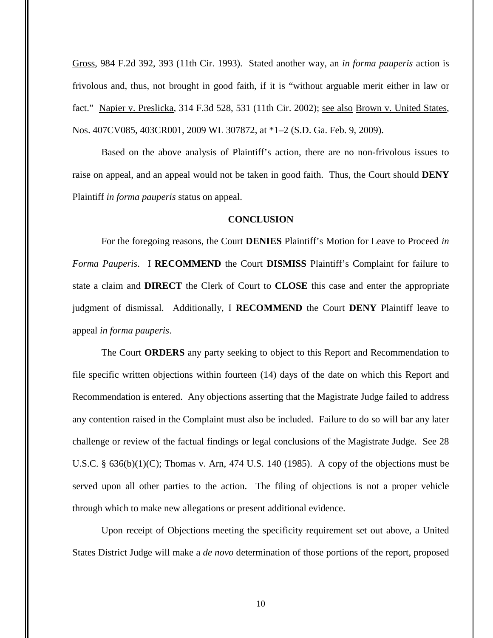Gross, 984 F.2d 392, 393 (11th Cir. 1993). Stated another way, an *in forma pauperis* action is frivolous and, thus, not brought in good faith, if it is "without arguable merit either in law or fact." Napier v. Preslicka, 314 F.3d 528, 531 (11th Cir. 2002); see also Brown v. United States, Nos. 407CV085, 403CR001, 2009 WL 307872, at \*1–2 (S.D. Ga. Feb. 9, 2009).

Based on the above analysis of Plaintiff's action, there are no non-frivolous issues to raise on appeal, and an appeal would not be taken in good faith. Thus, the Court should **DENY** Plaintiff *in forma pauperis* status on appeal.

## **CONCLUSION**

For the foregoing reasons, the Court **DENIES** Plaintiff's Motion for Leave to Proceed *in Forma Pauperis*. I **RECOMMEND** the Court **DISMISS** Plaintiff's Complaint for failure to state a claim and **DIRECT** the Clerk of Court to **CLOSE** this case and enter the appropriate judgment of dismissal. Additionally, I **RECOMMEND** the Court **DENY** Plaintiff leave to appeal *in forma pauperis*.

The Court **ORDERS** any party seeking to object to this Report and Recommendation to file specific written objections within fourteen (14) days of the date on which this Report and Recommendation is entered. Any objections asserting that the Magistrate Judge failed to address any contention raised in the Complaint must also be included. Failure to do so will bar any later challenge or review of the factual findings or legal conclusions of the Magistrate Judge. See 28 U.S.C. §  $636(b)(1)(C)$ ; Thomas v. Arn, 474 U.S. 140 (1985). A copy of the objections must be served upon all other parties to the action. The filing of objections is not a proper vehicle through which to make new allegations or present additional evidence.

Upon receipt of Objections meeting the specificity requirement set out above, a United States District Judge will make a *de novo* determination of those portions of the report, proposed